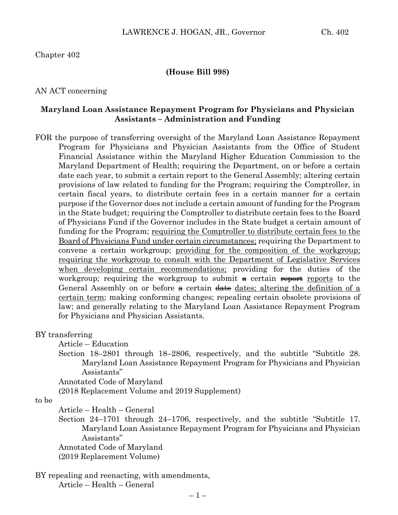## Chapter 402

### **(House Bill 998)**

### AN ACT concerning

## **Maryland Loan Assistance Repayment Program for Physicians and Physician Assistants – Administration and Funding**

FOR the purpose of transferring oversight of the Maryland Loan Assistance Repayment Program for Physicians and Physician Assistants from the Office of Student Financial Assistance within the Maryland Higher Education Commission to the Maryland Department of Health; requiring the Department, on or before a certain date each year, to submit a certain report to the General Assembly; altering certain provisions of law related to funding for the Program; requiring the Comptroller, in certain fiscal years, to distribute certain fees in a certain manner for a certain purpose if the Governor does not include a certain amount of funding for the Program in the State budget; requiring the Comptroller to distribute certain fees to the Board of Physicians Fund if the Governor includes in the State budget a certain amount of funding for the Program; requiring the Comptroller to distribute certain fees to the Board of Physicians Fund under certain circumstances; requiring the Department to convene a certain workgroup; providing for the composition of the workgroup; requiring the workgroup to consult with the Department of Legislative Services when developing certain recommendations; providing for the duties of the workgroup; requiring the workgroup to submit  $\alpha$  certain reports to the General Assembly on or before  $\theta$  certain  $\theta$  dates; altering the definition of a certain term; making conforming changes; repealing certain obsolete provisions of law; and generally relating to the Maryland Loan Assistance Repayment Program for Physicians and Physician Assistants.

#### BY transferring

Article – Education

Section 18–2801 through 18–2806, respectively, and the subtitle "Subtitle 28. Maryland Loan Assistance Repayment Program for Physicians and Physician Assistants"

Annotated Code of Maryland

(2018 Replacement Volume and 2019 Supplement)

to be

Article – Health – General

Section 24–1701 through 24–1706, respectively, and the subtitle "Subtitle 17. Maryland Loan Assistance Repayment Program for Physicians and Physician Assistants"

Annotated Code of Maryland

(2019 Replacement Volume)

BY repealing and reenacting, with amendments, Article – Health – General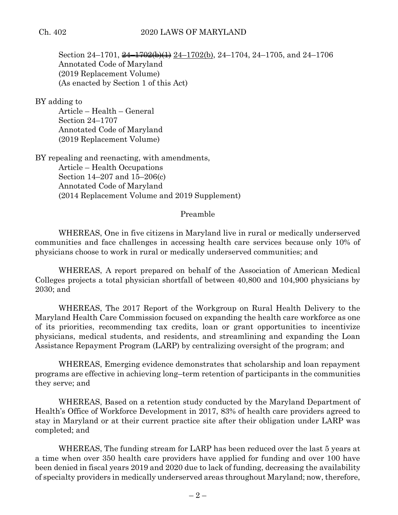Section 24–1701,  $\frac{24-1702(b)(1)}{24-1702(b)}$ , 24–1704, 24–1705, and 24–1706 Annotated Code of Maryland (2019 Replacement Volume) (As enacted by Section 1 of this Act)

BY adding to

Article – Health – General Section 24–1707 Annotated Code of Maryland (2019 Replacement Volume)

BY repealing and reenacting, with amendments, Article – Health Occupations Section 14–207 and 15–206(c) Annotated Code of Maryland (2014 Replacement Volume and 2019 Supplement)

## Preamble

WHEREAS, One in five citizens in Maryland live in rural or medically underserved communities and face challenges in accessing health care services because only 10% of physicians choose to work in rural or medically underserved communities; and

WHEREAS, A report prepared on behalf of the Association of American Medical Colleges projects a total physician shortfall of between 40,800 and 104,900 physicians by 2030; and

WHEREAS, The 2017 Report of the Workgroup on Rural Health Delivery to the Maryland Health Care Commission focused on expanding the health care workforce as one of its priorities, recommending tax credits, loan or grant opportunities to incentivize physicians, medical students, and residents, and streamlining and expanding the Loan Assistance Repayment Program (LARP) by centralizing oversight of the program; and

WHEREAS, Emerging evidence demonstrates that scholarship and loan repayment programs are effective in achieving long–term retention of participants in the communities they serve; and

WHEREAS, Based on a retention study conducted by the Maryland Department of Health's Office of Workforce Development in 2017, 83% of health care providers agreed to stay in Maryland or at their current practice site after their obligation under LARP was completed; and

WHEREAS, The funding stream for LARP has been reduced over the last 5 years at a time when over 350 health care providers have applied for funding and over 100 have been denied in fiscal years 2019 and 2020 due to lack of funding, decreasing the availability of specialty providers in medically underserved areas throughout Maryland; now, therefore,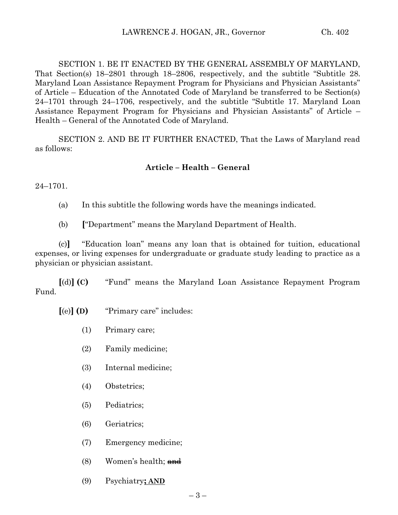SECTION 1. BE IT ENACTED BY THE GENERAL ASSEMBLY OF MARYLAND, That Section(s) 18–2801 through 18–2806, respectively, and the subtitle "Subtitle 28. Maryland Loan Assistance Repayment Program for Physicians and Physician Assistants" of Article – Education of the Annotated Code of Maryland be transferred to be Section(s) 24–1701 through 24–1706, respectively, and the subtitle "Subtitle 17. Maryland Loan Assistance Repayment Program for Physicians and Physician Assistants" of Article – Health – General of the Annotated Code of Maryland.

SECTION 2. AND BE IT FURTHER ENACTED, That the Laws of Maryland read as follows:

# **Article – Health – General**

24–1701.

(a) In this subtitle the following words have the meanings indicated.

(b) **[**"Department" means the Maryland Department of Health.

(c)**]** "Education loan" means any loan that is obtained for tuition, educational expenses, or living expenses for undergraduate or graduate study leading to practice as a physician or physician assistant.

**[**(d)**] (C)** "Fund" means the Maryland Loan Assistance Repayment Program Fund.

- **[**(e)**] (D)** "Primary care" includes:
	- (1) Primary care;
	- (2) Family medicine;
	- (3) Internal medicine;
	- (4) Obstetrics;
	- (5) Pediatrics;
	- (6) Geriatrics;
	- (7) Emergency medicine;
	- $(8)$  Women's health; and
	- (9) Psychiatry**; AND**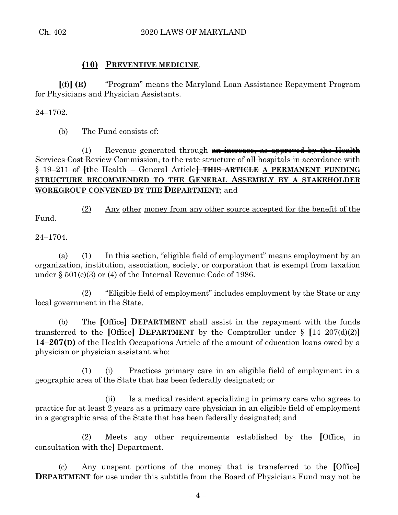# **(10) PREVENTIVE MEDICINE**.

**[**(f)**] (E)** "Program" means the Maryland Loan Assistance Repayment Program for Physicians and Physician Assistants.

24–1702.

(b) The Fund consists of:

(1) Revenue generated through  $an$  increase, as approved by the Health Services Cost Review Commission, to the rate structure of all hospitals in accordance with § 19–211 of **[**the Health – General Article**] THIS ARTICLE A PERMANENT FUNDING STRUCTURE RECOMMENDED TO THE GENERAL ASSEMBLY BY A STAKEHOLDER WORKGROUP CONVENED BY THE DEPARTMENT**; and

(2) Any other money from any other source accepted for the benefit of the Fund.

24–1704.

(a) (1) In this section, "eligible field of employment" means employment by an organization, institution, association, society, or corporation that is exempt from taxation under § 501(c)(3) or (4) of the Internal Revenue Code of 1986.

(2) "Eligible field of employment" includes employment by the State or any local government in the State.

(b) The **[**Office**] DEPARTMENT** shall assist in the repayment with the funds transferred to the [Office] **DEPARTMENT** by the Comptroller under  $\S$  [14–207(d)(2)] **14–207(D)** of the Health Occupations Article of the amount of education loans owed by a physician or physician assistant who:

(1) (i) Practices primary care in an eligible field of employment in a geographic area of the State that has been federally designated; or

(ii) Is a medical resident specializing in primary care who agrees to practice for at least 2 years as a primary care physician in an eligible field of employment in a geographic area of the State that has been federally designated; and

(2) Meets any other requirements established by the **[**Office, in consultation with the**]** Department.

(c) Any unspent portions of the money that is transferred to the **[**Office**] DEPARTMENT** for use under this subtitle from the Board of Physicians Fund may not be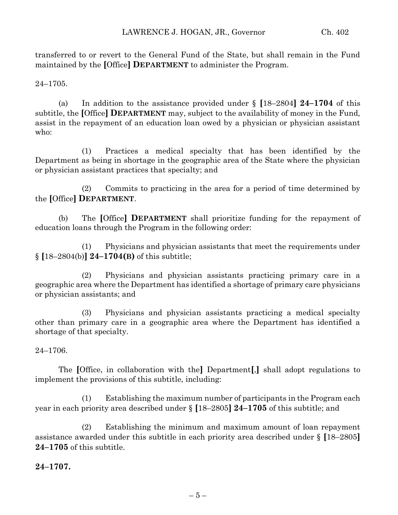transferred to or revert to the General Fund of the State, but shall remain in the Fund maintained by the **[**Office**] DEPARTMENT** to administer the Program.

24–1705.

(a) In addition to the assistance provided under § **[**18–2804**] 24–1704** of this subtitle, the **[**Office**] DEPARTMENT** may, subject to the availability of money in the Fund, assist in the repayment of an education loan owed by a physician or physician assistant who:

(1) Practices a medical specialty that has been identified by the Department as being in shortage in the geographic area of the State where the physician or physician assistant practices that specialty; and

(2) Commits to practicing in the area for a period of time determined by the **[**Office**] DEPARTMENT**.

(b) The **[**Office**] DEPARTMENT** shall prioritize funding for the repayment of education loans through the Program in the following order:

(1) Physicians and physician assistants that meet the requirements under § **[**18–2804(b)**] 24–1704(B)** of this subtitle;

(2) Physicians and physician assistants practicing primary care in a geographic area where the Department has identified a shortage of primary care physicians or physician assistants; and

(3) Physicians and physician assistants practicing a medical specialty other than primary care in a geographic area where the Department has identified a shortage of that specialty.

24–1706.

The **[**Office, in collaboration with the**]** Department**[**,**]** shall adopt regulations to implement the provisions of this subtitle, including:

(1) Establishing the maximum number of participants in the Program each year in each priority area described under § **[**18–2805**] 24–1705** of this subtitle; and

(2) Establishing the minimum and maximum amount of loan repayment assistance awarded under this subtitle in each priority area described under § **[**18–2805**] 24–1705** of this subtitle.

**24–1707.**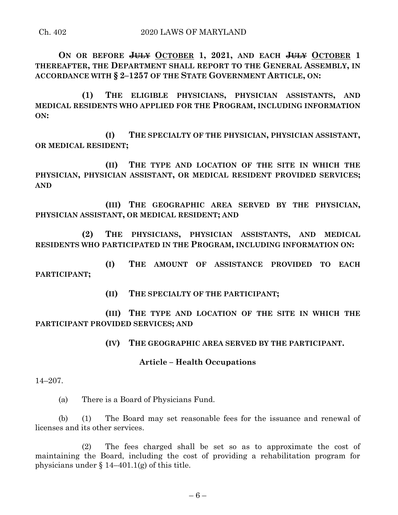**ON OR BEFORE JULY OCTOBER 1, 2021, AND EACH JULY OCTOBER 1 THEREAFTER, THE DEPARTMENT SHALL REPORT TO THE GENERAL ASSEMBLY, IN ACCORDANCE WITH § 2–1257 OF THE STATE GOVERNMENT ARTICLE, ON:**

**(1) THE ELIGIBLE PHYSICIANS, PHYSICIAN ASSISTANTS, AND MEDICAL RESIDENTS WHO APPLIED FOR THE PROGRAM, INCLUDING INFORMATION ON:**

**(I) THE SPECIALTY OF THE PHYSICIAN, PHYSICIAN ASSISTANT, OR MEDICAL RESIDENT;**

**(II) THE TYPE AND LOCATION OF THE SITE IN WHICH THE PHYSICIAN, PHYSICIAN ASSISTANT, OR MEDICAL RESIDENT PROVIDED SERVICES; AND** 

**(III) THE GEOGRAPHIC AREA SERVED BY THE PHYSICIAN, PHYSICIAN ASSISTANT, OR MEDICAL RESIDENT; AND**

**(2) THE PHYSICIANS, PHYSICIAN ASSISTANTS, AND MEDICAL RESIDENTS WHO PARTICIPATED IN THE PROGRAM, INCLUDING INFORMATION ON:**

**(I) THE AMOUNT OF ASSISTANCE PROVIDED TO EACH PARTICIPANT;**

**(II) THE SPECIALTY OF THE PARTICIPANT;**

**(III) THE TYPE AND LOCATION OF THE SITE IN WHICH THE PARTICIPANT PROVIDED SERVICES; AND** 

**(IV) THE GEOGRAPHIC AREA SERVED BY THE PARTICIPANT.**

#### **Article – Health Occupations**

14–207.

(a) There is a Board of Physicians Fund.

(b) (1) The Board may set reasonable fees for the issuance and renewal of licenses and its other services.

(2) The fees charged shall be set so as to approximate the cost of maintaining the Board, including the cost of providing a rehabilitation program for physicians under  $\{14-401.1(g)$  of this title.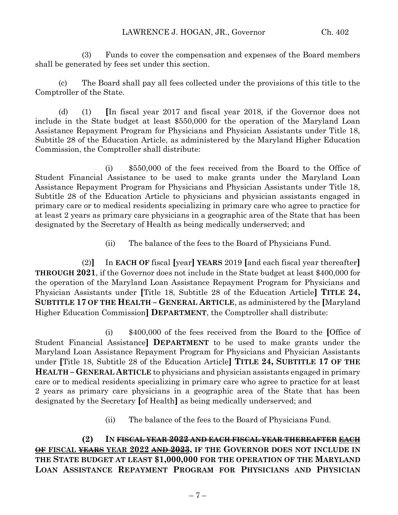(3) Funds to cover the compensation and expenses of the Board members shall be generated by fees set under this section.

(c) The Board shall pay all fees collected under the provisions of this title to the Comptroller of the State.

(d) (1) **[**In fiscal year 2017 and fiscal year 2018, if the Governor does not include in the State budget at least \$550,000 for the operation of the Maryland Loan Assistance Repayment Program for Physicians and Physician Assistants under Title 18, Subtitle 28 of the Education Article, as administered by the Maryland Higher Education Commission, the Comptroller shall distribute:

(i) \$550,000 of the fees received from the Board to the Office of Student Financial Assistance to be used to make grants under the Maryland Loan Assistance Repayment Program for Physicians and Physician Assistants under Title 18, Subtitle 28 of the Education Article to physicians and physician assistants engaged in primary care or to medical residents specializing in primary care who agree to practice for at least 2 years as primary care physicians in a geographic area of the State that has been designated by the Secretary of Health as being medically underserved; and

(ii) The balance of the fees to the Board of Physicians Fund.

(2)**]** In **EACH OF** fiscal **[**year**] YEARS** 2019 **[**and each fiscal year thereafter**] THROUGH 2021**, if the Governor does not include in the State budget at least \$400,000 for the operation of the Maryland Loan Assistance Repayment Program for Physicians and Physician Assistants under **[**Title 18, Subtitle 28 of the Education Article**] TITLE 24, SUBTITLE 17 OF THE HEALTH – GENERAL ARTICLE**, as administered by the **[**Maryland Higher Education Commission**] DEPARTMENT**, the Comptroller shall distribute:

(i) \$400,000 of the fees received from the Board to the **[**Office of Student Financial Assistance**] DEPARTMENT** to be used to make grants under the Maryland Loan Assistance Repayment Program for Physicians and Physician Assistants under **[**Title 18, Subtitle 28 of the Education Article**] TITLE 24, SUBTITLE 17 OF THE HEALTH – GENERAL ARTICLE** to physicians and physician assistants engaged in primary care or to medical residents specializing in primary care who agree to practice for at least 2 years as primary care physicians in a geographic area of the State that has been designated by the Secretary **[**of Health**]** as being medically underserved; and

(ii) The balance of the fees to the Board of Physicians Fund.

**(2) IN FISCAL YEAR 2022 AND EACH FISCAL YEAR THEREAFTER EACH OF FISCAL YEARS YEAR 2022 AND 2023, IF THE GOVERNOR DOES NOT INCLUDE IN THE STATE BUDGET AT LEAST \$1,000,000 FOR THE OPERATION OF THE MARYLAND LOAN ASSISTANCE REPAYMENT PROGRAM FOR PHYSICIANS AND PHYSICIAN**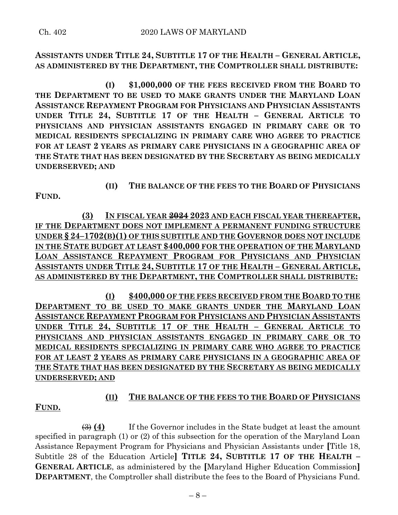# **ASSISTANTS UNDER TITLE 24, SUBTITLE 17 OF THE HEALTH – GENERAL ARTICLE, AS ADMINISTERED BY THE DEPARTMENT, THE COMPTROLLER SHALL DISTRIBUTE:**

**(I) \$1,000,000 OF THE FEES RECEIVED FROM THE BOARD TO THE DEPARTMENT TO BE USED TO MAKE GRANTS UNDER THE MARYLAND LOAN ASSISTANCE REPAYMENT PROGRAM FOR PHYSICIANS AND PHYSICIAN ASSISTANTS UNDER TITLE 24, SUBTITLE 17 OF THE HEALTH – GENERAL ARTICLE TO PHYSICIANS AND PHYSICIAN ASSISTANTS ENGAGED IN PRIMARY CARE OR TO MEDICAL RESIDENTS SPECIALIZING IN PRIMARY CARE WHO AGREE TO PRACTICE FOR AT LEAST 2 YEARS AS PRIMARY CARE PHYSICIANS IN A GEOGRAPHIC AREA OF THE STATE THAT HAS BEEN DESIGNATED BY THE SECRETARY AS BEING MEDICALLY UNDERSERVED; AND**

**FUND.**

**(II) THE BALANCE OF THE FEES TO THE BOARD OF PHYSICIANS** 

**(3) IN FISCAL YEAR 2024 2023 AND EACH FISCAL YEAR THEREAFTER,** IF THE **DEPARTMENT DOES NOT IMPLEMENT A PERMANENT FUNDING STRUCTURE UNDER § 24–1702(B)(1) OF THIS SUBTITLE AND THE GOVERNOR DOES NOT INCLUDE IN THE STATE BUDGET AT LEAST \$400,000 FOR THE OPERATION OF THE MARYLAND LOAN ASSISTANCE REPAYMENT PROGRAM FOR PHYSICIANS AND PHYSICIAN ASSISTANTS UNDER TITLE 24, SUBTITLE 17 OF THE HEALTH – GENERAL ARTICLE, AS ADMINISTERED BY THE DEPARTMENT, THE COMPTROLLER SHALL DISTRIBUTE:**

**(I) \$400,000 OF THE FEES RECEIVED FROM THE BOARD TO THE DEPARTMENT TO BE USED TO MAKE GRANTS UNDER THE MARYLAND LOAN ASSISTANCE REPAYMENT PROGRAM FOR PHYSICIANS AND PHYSICIAN ASSISTANTS UNDER TITLE 24, SUBTITLE 17 OF THE HEALTH – GENERAL ARTICLE TO PHYSICIANS AND PHYSICIAN ASSISTANTS ENGAGED IN PRIMARY CARE OR TO MEDICAL RESIDENTS SPECIALIZING IN PRIMARY CARE WHO AGREE TO PRACTICE FOR AT LEAST 2 YEARS AS PRIMARY CARE PHYSICIANS IN A GEOGRAPHIC AREA OF THE STATE THAT HAS BEEN DESIGNATED BY THE SECRETARY AS BEING MEDICALLY UNDERSERVED; AND**

**FUND.**

# **(II) THE BALANCE OF THE FEES TO THE BOARD OF PHYSICIANS**

(3) **(4)** If the Governor includes in the State budget at least the amount specified in paragraph (1) or (2) of this subsection for the operation of the Maryland Loan Assistance Repayment Program for Physicians and Physician Assistants under **[**Title 18, Subtitle 28 of the Education Article**] TITLE 24, SUBTITLE 17 OF THE HEALTH – GENERAL ARTICLE**, as administered by the **[**Maryland Higher Education Commission**] DEPARTMENT**, the Comptroller shall distribute the fees to the Board of Physicians Fund.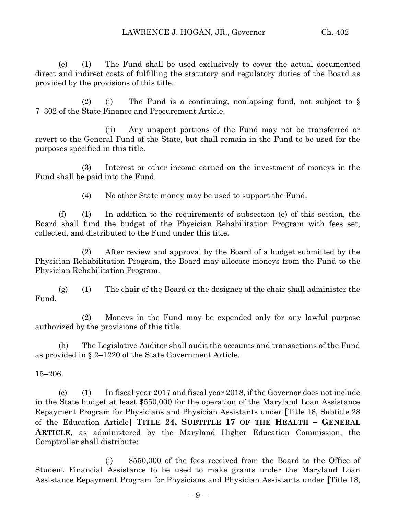(e) (1) The Fund shall be used exclusively to cover the actual documented direct and indirect costs of fulfilling the statutory and regulatory duties of the Board as provided by the provisions of this title.

(2) (i) The Fund is a continuing, nonlapsing fund, not subject to § 7–302 of the State Finance and Procurement Article.

(ii) Any unspent portions of the Fund may not be transferred or revert to the General Fund of the State, but shall remain in the Fund to be used for the purposes specified in this title.

(3) Interest or other income earned on the investment of moneys in the Fund shall be paid into the Fund.

(4) No other State money may be used to support the Fund.

(f) (1) In addition to the requirements of subsection (e) of this section, the Board shall fund the budget of the Physician Rehabilitation Program with fees set, collected, and distributed to the Fund under this title.

(2) After review and approval by the Board of a budget submitted by the Physician Rehabilitation Program, the Board may allocate moneys from the Fund to the Physician Rehabilitation Program.

(g) (1) The chair of the Board or the designee of the chair shall administer the Fund.

(2) Moneys in the Fund may be expended only for any lawful purpose authorized by the provisions of this title.

(h) The Legislative Auditor shall audit the accounts and transactions of the Fund as provided in § 2–1220 of the State Government Article.

15–206.

(c) (1) In fiscal year 2017 and fiscal year 2018, if the Governor does not include in the State budget at least \$550,000 for the operation of the Maryland Loan Assistance Repayment Program for Physicians and Physician Assistants under **[**Title 18, Subtitle 28 of the Education Article**] TITLE 24, SUBTITLE 17 OF THE HEALTH – GENERAL ARTICLE**, as administered by the Maryland Higher Education Commission, the Comptroller shall distribute:

(i) \$550,000 of the fees received from the Board to the Office of Student Financial Assistance to be used to make grants under the Maryland Loan Assistance Repayment Program for Physicians and Physician Assistants under **[**Title 18,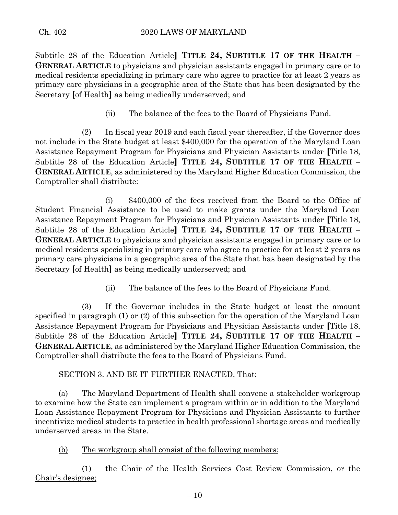Subtitle 28 of the Education Article**] TITLE 24, SUBTITLE 17 OF THE HEALTH – GENERAL ARTICLE** to physicians and physician assistants engaged in primary care or to medical residents specializing in primary care who agree to practice for at least 2 years as primary care physicians in a geographic area of the State that has been designated by the Secretary **[**of Health**]** as being medically underserved; and

(ii) The balance of the fees to the Board of Physicians Fund.

(2) In fiscal year 2019 and each fiscal year thereafter, if the Governor does not include in the State budget at least \$400,000 for the operation of the Maryland Loan Assistance Repayment Program for Physicians and Physician Assistants under **[**Title 18, Subtitle 28 of the Education Article**] TITLE 24, SUBTITLE 17 OF THE HEALTH – GENERAL ARTICLE**, as administered by the Maryland Higher Education Commission, the Comptroller shall distribute:

(i) \$400,000 of the fees received from the Board to the Office of Student Financial Assistance to be used to make grants under the Maryland Loan Assistance Repayment Program for Physicians and Physician Assistants under **[**Title 18, Subtitle 28 of the Education Article**] TITLE 24, SUBTITLE 17 OF THE HEALTH – GENERAL ARTICLE** to physicians and physician assistants engaged in primary care or to medical residents specializing in primary care who agree to practice for at least 2 years as primary care physicians in a geographic area of the State that has been designated by the Secretary **[**of Health**]** as being medically underserved; and

(ii) The balance of the fees to the Board of Physicians Fund.

(3) If the Governor includes in the State budget at least the amount specified in paragraph (1) or (2) of this subsection for the operation of the Maryland Loan Assistance Repayment Program for Physicians and Physician Assistants under **[**Title 18, Subtitle 28 of the Education Article**] TITLE 24, SUBTITLE 17 OF THE HEALTH – GENERAL ARTICLE**, as administered by the Maryland Higher Education Commission, the Comptroller shall distribute the fees to the Board of Physicians Fund.

SECTION 3. AND BE IT FURTHER ENACTED, That:

(a) The Maryland Department of Health shall convene a stakeholder workgroup to examine how the State can implement a program within or in addition to the Maryland Loan Assistance Repayment Program for Physicians and Physician Assistants to further incentivize medical students to practice in health professional shortage areas and medically underserved areas in the State.

(b) The workgroup shall consist of the following members:

(1) the Chair of the Health Services Cost Review Commission, or the Chair's designee;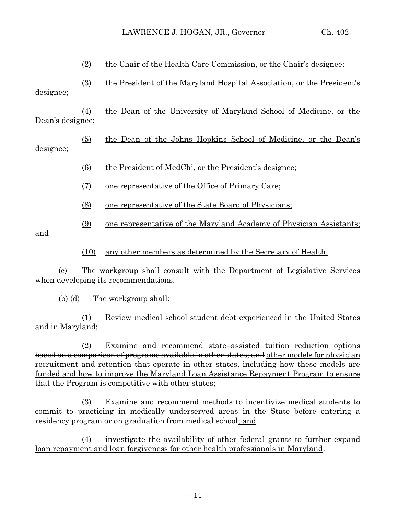|                  | (2)              | the Chair of the Health Care Commission, or the Chair's designee;      |
|------------------|------------------|------------------------------------------------------------------------|
| designee;        | (3)              | the President of the Maryland Hospital Association, or the President's |
| Dean's designee; | (4)              | the Dean of the University of Maryland School of Medicine, or the      |
| designee;        | (5)              | the Dean of the Johns Hopkins School of Medicine, or the Dean's        |
|                  | $\left(6\right)$ | the President of MedChi, or the President's designee;                  |
|                  | (7)              | <u>one</u> representative of the Office of Primary Care;               |
|                  | (8)              | one representative of the State Board of Physicians;                   |
| <u>and</u>       | (9)              | one representative of the Maryland Academy of Physician Assistants;    |
|                  | (10)             | <u>any other members as determined by the Secretary of Health.</u>     |

(c) The workgroup shall consult with the Department of Legislative Services when developing its recommendations.

 $\leftrightarrow$  (d) The workgroup shall:

(1) Review medical school student debt experienced in the United States and in Maryland;

(2) Examine and recommend state–assisted tuition reduction options based on a comparison of programs available in other states; and other models for physician recruitment and retention that operate in other states, including how these models are funded and how to improve the Maryland Loan Assistance Repayment Program to ensure that the Program is competitive with other states;

(3) Examine and recommend methods to incentivize medical students to commit to practicing in medically underserved areas in the State before entering a residency program or on graduation from medical school; and

(4) investigate the availability of other federal grants to further expand loan repayment and loan forgiveness for other health professionals in Maryland.